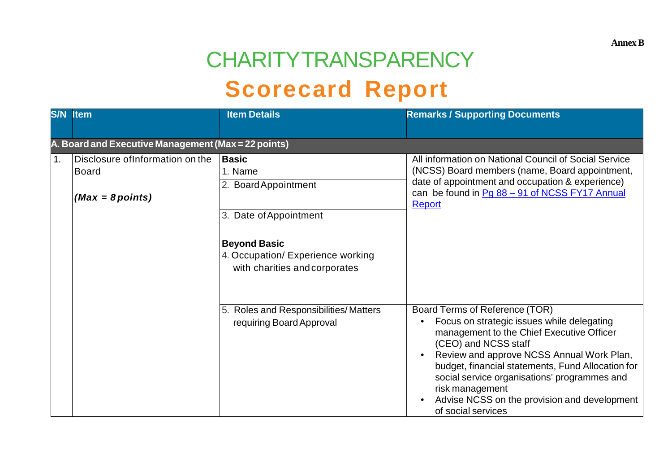## **AnnexB**

## **CHARITYTRANSPARENCY**

## **Scorecard Report**

|    | <b>S/N</b> Item                                                 | <b>Item Details</b>                                                                                                                                                    | <b>Remarks / Supporting Documents</b>                                                                                                                                                                                                                                                                                                                                                        |
|----|-----------------------------------------------------------------|------------------------------------------------------------------------------------------------------------------------------------------------------------------------|----------------------------------------------------------------------------------------------------------------------------------------------------------------------------------------------------------------------------------------------------------------------------------------------------------------------------------------------------------------------------------------------|
|    | A. Board and Executive Management (Max = 22 points)             |                                                                                                                                                                        |                                                                                                                                                                                                                                                                                                                                                                                              |
| 1. | Disclosure of Information on the<br>Board<br>$(Max = 8 points)$ | <b>Basic</b><br>1. Name<br>2. Board Appointment<br>3. Date of Appointment<br><b>Beyond Basic</b><br>4. Occupation/ Experience working<br>with charities and corporates | All information on National Council of Social Service<br>(NCSS) Board members (name, Board appointment,<br>date of appointment and occupation & experience)<br>can be found in Pg 88 - 91 of NCSS FY17 Annual<br>Report                                                                                                                                                                      |
|    |                                                                 | 5. Roles and Responsibilities/Matters<br>requiring Board Approval                                                                                                      | Board Terms of Reference (TOR)<br>Focus on strategic issues while delegating<br>management to the Chief Executive Officer<br>(CEO) and NCSS staff<br>Review and approve NCSS Annual Work Plan,<br>budget, financial statements, Fund Allocation for<br>social service organisations' programmes and<br>risk management<br>Advise NCSS on the provision and development<br>of social services |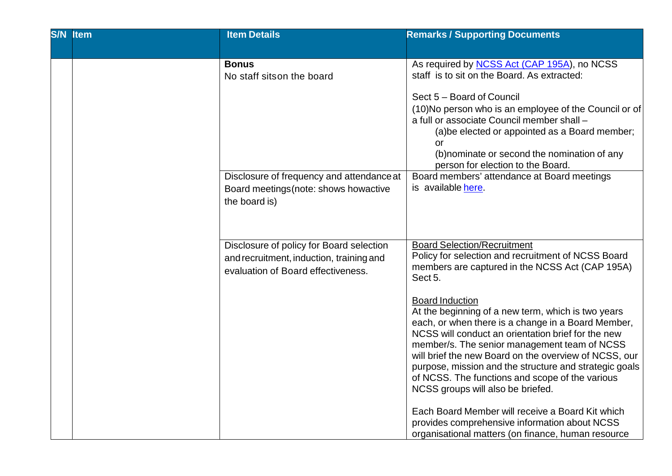| <b>S/N</b> Item | <b>Item Details</b>                                                                                                        | <b>Remarks / Supporting Documents</b>                                                                                                                                                                                                                                                                                                                                                                                                               |
|-----------------|----------------------------------------------------------------------------------------------------------------------------|-----------------------------------------------------------------------------------------------------------------------------------------------------------------------------------------------------------------------------------------------------------------------------------------------------------------------------------------------------------------------------------------------------------------------------------------------------|
|                 |                                                                                                                            |                                                                                                                                                                                                                                                                                                                                                                                                                                                     |
|                 | <b>Bonus</b><br>No staff sitson the board                                                                                  | As required by <b>NCSS Act (CAP 195A)</b> , no NCSS<br>staff is to sit on the Board. As extracted:<br>Sect 5 - Board of Council<br>(10) No person who is an employee of the Council or of<br>a full or associate Council member shall -<br>(a) be elected or appointed as a Board member;                                                                                                                                                           |
|                 |                                                                                                                            | or<br>(b) nominate or second the nomination of any<br>person for election to the Board.                                                                                                                                                                                                                                                                                                                                                             |
|                 | Disclosure of frequency and attendance at<br>Board meetings (note: shows howactive<br>the board is)                        | Board members' attendance at Board meetings<br>is available here.                                                                                                                                                                                                                                                                                                                                                                                   |
|                 | Disclosure of policy for Board selection<br>and recruitment, induction, training and<br>evaluation of Board effectiveness. | <b>Board Selection/Recruitment</b><br>Policy for selection and recruitment of NCSS Board<br>members are captured in the NCSS Act (CAP 195A)<br>Sect 5.                                                                                                                                                                                                                                                                                              |
|                 |                                                                                                                            | <b>Board Induction</b><br>At the beginning of a new term, which is two years<br>each, or when there is a change in a Board Member,<br>NCSS will conduct an orientation brief for the new<br>member/s. The senior management team of NCSS<br>will brief the new Board on the overview of NCSS, our<br>purpose, mission and the structure and strategic goals<br>of NCSS. The functions and scope of the various<br>NCSS groups will also be briefed. |
|                 |                                                                                                                            | Each Board Member will receive a Board Kit which<br>provides comprehensive information about NCSS<br>organisational matters (on finance, human resource                                                                                                                                                                                                                                                                                             |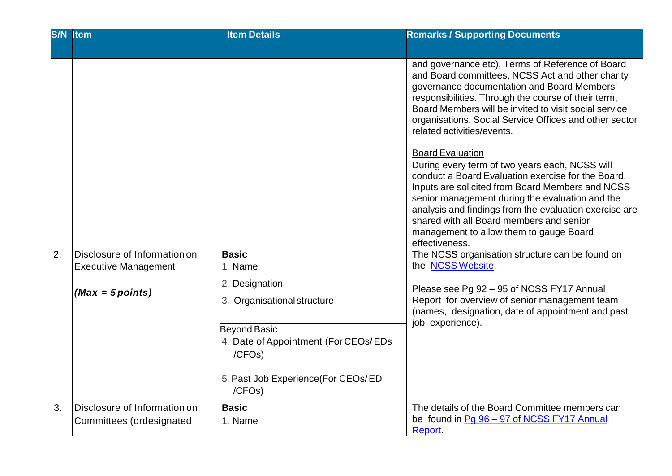| <b>S/N</b>       | <b>Item</b>                  | <b>Item Details</b>                                                   | <b>Remarks / Supporting Documents</b>                                                                                                                                                                                                                                                                                                                                                                     |
|------------------|------------------------------|-----------------------------------------------------------------------|-----------------------------------------------------------------------------------------------------------------------------------------------------------------------------------------------------------------------------------------------------------------------------------------------------------------------------------------------------------------------------------------------------------|
|                  |                              |                                                                       |                                                                                                                                                                                                                                                                                                                                                                                                           |
|                  |                              |                                                                       | and governance etc), Terms of Reference of Board<br>and Board committees, NCSS Act and other charity<br>governance documentation and Board Members'<br>responsibilities. Through the course of their term,<br>Board Members will be invited to visit social service<br>organisations, Social Service Offices and other sector<br>related activities/events.                                               |
|                  |                              |                                                                       | <b>Board Evaluation</b><br>During every term of two years each, NCSS will<br>conduct a Board Evaluation exercise for the Board.<br>Inputs are solicited from Board Members and NCSS<br>senior management during the evaluation and the<br>analysis and findings from the evaluation exercise are<br>shared with all Board members and senior<br>management to allow them to gauge Board<br>effectiveness. |
| $\overline{2}$ . | Disclosure of Information on | <b>Basic</b>                                                          | The NCSS organisation structure can be found on                                                                                                                                                                                                                                                                                                                                                           |
|                  | <b>Executive Management</b>  | 1. Name                                                               | the NCSS Website.                                                                                                                                                                                                                                                                                                                                                                                         |
|                  | $(Max = 5 points)$           | 2. Designation                                                        | Please see Pg 92 - 95 of NCSS FY17 Annual                                                                                                                                                                                                                                                                                                                                                                 |
|                  |                              | 3. Organisational structure                                           | Report for overview of senior management team<br>(names, designation, date of appointment and past                                                                                                                                                                                                                                                                                                        |
|                  |                              | <b>Beyond Basic</b><br>4. Date of Appointment (For CEOs/EDs<br>/CFOs) | job experience).                                                                                                                                                                                                                                                                                                                                                                                          |
|                  |                              | 5. Past Job Experience(For CEOs/ED<br>/CFO <sub>s</sub> )             |                                                                                                                                                                                                                                                                                                                                                                                                           |
| 3.               | Disclosure of Information on | <b>Basic</b>                                                          | The details of the Board Committee members can                                                                                                                                                                                                                                                                                                                                                            |
|                  | Committees (ordesignated     | 1. Name                                                               | be found in Pg 96 - 97 of NCSS FY17 Annual<br>Report.                                                                                                                                                                                                                                                                                                                                                     |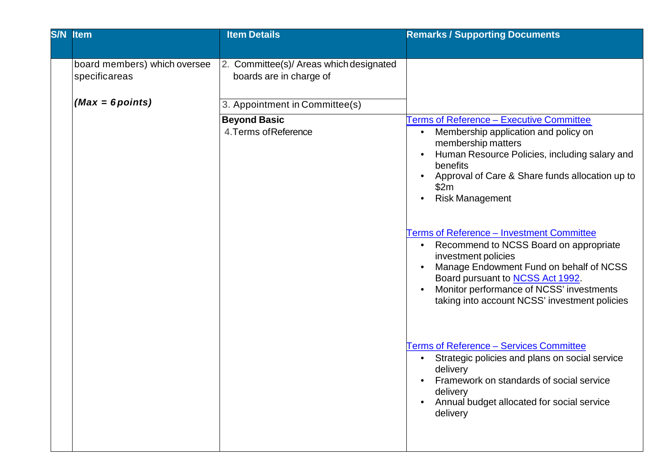| <b>S/N</b> Item                               | <b>Item Details</b>                                                | <b>Remarks / Supporting Documents</b>                                                                                                                                                                                                                                                                        |
|-----------------------------------------------|--------------------------------------------------------------------|--------------------------------------------------------------------------------------------------------------------------------------------------------------------------------------------------------------------------------------------------------------------------------------------------------------|
| board members) which oversee<br>specificareas | 2. Committee(s)/ Areas which designated<br>boards are in charge of |                                                                                                                                                                                                                                                                                                              |
| $(Max = 6 points)$                            | 3. Appointment in Committee(s)                                     |                                                                                                                                                                                                                                                                                                              |
|                                               | <b>Beyond Basic</b><br>4. Terms of Reference                       | Terms of Reference - Executive Committee<br>Membership application and policy on<br>membership matters<br>Human Resource Policies, including salary and<br>benefits<br>Approval of Care & Share funds allocation up to<br>\$2m<br><b>Risk Management</b><br><b>Terms of Reference - Investment Committee</b> |
|                                               |                                                                    | Recommend to NCSS Board on appropriate<br>investment policies<br>Manage Endowment Fund on behalf of NCSS<br>Board pursuant to <b>NCSS Act 1992</b> .<br>Monitor performance of NCSS' investments<br>taking into account NCSS' investment policies                                                            |
|                                               |                                                                    | <b>Terms of Reference - Services Committee</b><br>Strategic policies and plans on social service<br>delivery<br>Framework on standards of social service<br>delivery<br>Annual budget allocated for social service<br>delivery                                                                               |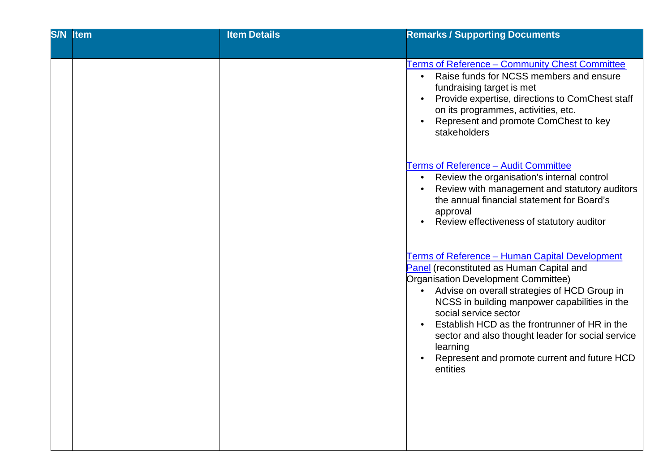|  | <b>Remarks / Supporting Documents</b>                                                                                                                                                                                                                                                                                                                                                                                                             |
|--|---------------------------------------------------------------------------------------------------------------------------------------------------------------------------------------------------------------------------------------------------------------------------------------------------------------------------------------------------------------------------------------------------------------------------------------------------|
|  | Terms of Reference - Community Chest Committee<br>Raise funds for NCSS members and ensure<br>fundraising target is met<br>Provide expertise, directions to ComChest staff<br>on its programmes, activities, etc.<br>Represent and promote ComChest to key<br>stakeholders                                                                                                                                                                         |
|  | <b>Terms of Reference - Audit Committee</b><br>Review the organisation's internal control<br>$\bullet$<br>Review with management and statutory auditors<br>$\bullet$<br>the annual financial statement for Board's<br>approval<br>Review effectiveness of statutory auditor                                                                                                                                                                       |
|  | Terms of Reference - Human Capital Development<br><b>Panel</b> (reconstituted as Human Capital and<br>Organisation Development Committee)<br>Advise on overall strategies of HCD Group in<br>NCSS in building manpower capabilities in the<br>social service sector<br>Establish HCD as the frontrunner of HR in the<br>sector and also thought leader for social service<br>learning<br>Represent and promote current and future HCD<br>entities |
|  |                                                                                                                                                                                                                                                                                                                                                                                                                                                   |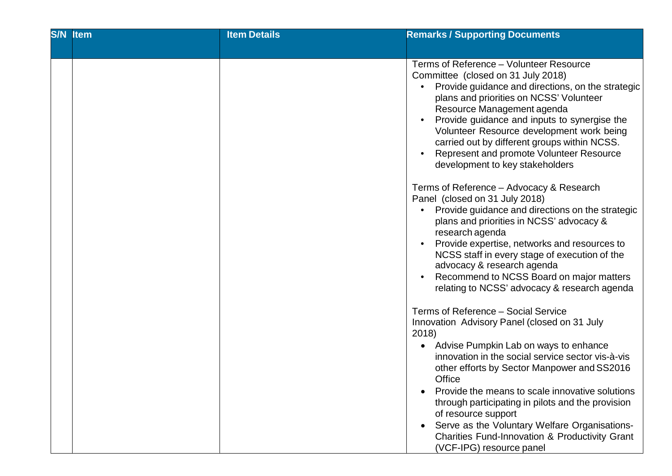| <b>S/N</b> Item | <b>Item Details</b> | <b>Remarks / Supporting Documents</b>                                                                                                                                                                                                                                                                                                                                                                                                                                                                               |
|-----------------|---------------------|---------------------------------------------------------------------------------------------------------------------------------------------------------------------------------------------------------------------------------------------------------------------------------------------------------------------------------------------------------------------------------------------------------------------------------------------------------------------------------------------------------------------|
|                 |                     |                                                                                                                                                                                                                                                                                                                                                                                                                                                                                                                     |
|                 |                     | Terms of Reference - Volunteer Resource<br>Committee (closed on 31 July 2018)<br>Provide guidance and directions, on the strategic<br>plans and priorities on NCSS' Volunteer<br>Resource Management agenda<br>Provide guidance and inputs to synergise the<br>Volunteer Resource development work being<br>carried out by different groups within NCSS.<br>Represent and promote Volunteer Resource<br>development to key stakeholders                                                                             |
|                 |                     | Terms of Reference - Advocacy & Research<br>Panel (closed on 31 July 2018)<br>Provide guidance and directions on the strategic<br>plans and priorities in NCSS' advocacy &<br>research agenda<br>Provide expertise, networks and resources to<br>NCSS staff in every stage of execution of the<br>advocacy & research agenda<br>Recommend to NCSS Board on major matters<br>relating to NCSS' advocacy & research agenda                                                                                            |
|                 |                     | Terms of Reference - Social Service<br>Innovation Advisory Panel (closed on 31 July<br>2018)<br>• Advise Pumpkin Lab on ways to enhance<br>innovation in the social service sector vis-à-vis<br>other efforts by Sector Manpower and SS2016<br>Office<br>Provide the means to scale innovative solutions<br>through participating in pilots and the provision<br>of resource support<br>Serve as the Voluntary Welfare Organisations-<br>Charities Fund-Innovation & Productivity Grant<br>(VCF-IPG) resource panel |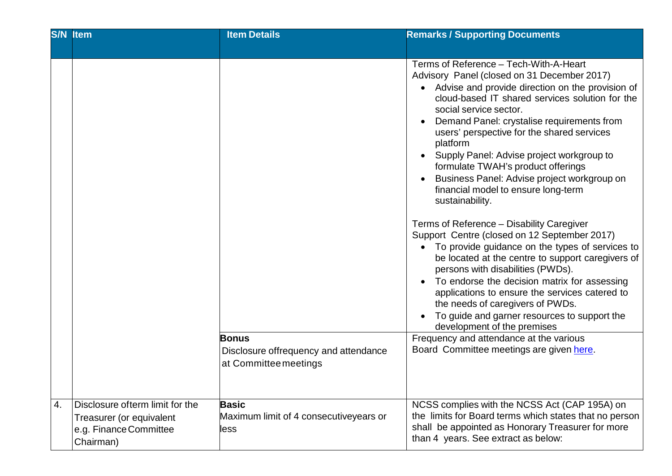|    | <b>S/N</b> Item                                                                                    | <b>Item Details</b>                                                            | <b>Remarks / Supporting Documents</b>                                                                                                                                                                                                                                                                                                                                                                                                                                                                                        |
|----|----------------------------------------------------------------------------------------------------|--------------------------------------------------------------------------------|------------------------------------------------------------------------------------------------------------------------------------------------------------------------------------------------------------------------------------------------------------------------------------------------------------------------------------------------------------------------------------------------------------------------------------------------------------------------------------------------------------------------------|
|    |                                                                                                    |                                                                                |                                                                                                                                                                                                                                                                                                                                                                                                                                                                                                                              |
|    |                                                                                                    |                                                                                | Terms of Reference - Tech-With-A-Heart<br>Advisory Panel (closed on 31 December 2017)<br>• Advise and provide direction on the provision of<br>cloud-based IT shared services solution for the<br>social service sector.<br>Demand Panel: crystalise requirements from<br>users' perspective for the shared services<br>platform<br>Supply Panel: Advise project workgroup to<br>formulate TWAH's product offerings<br>Business Panel: Advise project workgroup on<br>financial model to ensure long-term<br>sustainability. |
|    |                                                                                                    |                                                                                | Terms of Reference - Disability Caregiver<br>Support Centre (closed on 12 September 2017)<br>• To provide guidance on the types of services to<br>be located at the centre to support caregivers of<br>persons with disabilities (PWDs).<br>To endorse the decision matrix for assessing<br>applications to ensure the services catered to<br>the needs of caregivers of PWDs.<br>To guide and garner resources to support the<br>development of the premises                                                                |
|    |                                                                                                    | <b>Bonus</b><br>Disclosure offrequency and attendance<br>at Committee meetings | Frequency and attendance at the various<br>Board Committee meetings are given here.                                                                                                                                                                                                                                                                                                                                                                                                                                          |
| 4. | Disclosure ofterm limit for the<br>Treasurer (or equivalent<br>e.g. Finance Committee<br>Chairman) | <b>Basic</b><br>Maximum limit of 4 consecutiveyears or<br>less                 | NCSS complies with the NCSS Act (CAP 195A) on<br>the limits for Board terms which states that no person<br>shall be appointed as Honorary Treasurer for more<br>than 4 years. See extract as below:                                                                                                                                                                                                                                                                                                                          |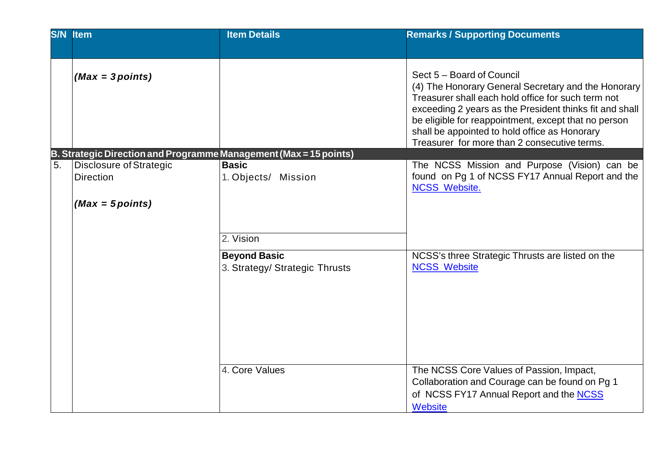|    | <b>S/N Item</b>                                    | <b>Item Details</b>                                               | <b>Remarks / Supporting Documents</b>                                                                                                                                                                                                                                                                                                                      |
|----|----------------------------------------------------|-------------------------------------------------------------------|------------------------------------------------------------------------------------------------------------------------------------------------------------------------------------------------------------------------------------------------------------------------------------------------------------------------------------------------------------|
|    |                                                    |                                                                   |                                                                                                                                                                                                                                                                                                                                                            |
|    | $(Max = 3 points)$                                 |                                                                   | Sect 5 - Board of Council<br>(4) The Honorary General Secretary and the Honorary<br>Treasurer shall each hold office for such term not<br>exceeding 2 years as the President thinks fit and shall<br>be eligible for reappointment, except that no person<br>shall be appointed to hold office as Honorary<br>Treasurer for more than 2 consecutive terms. |
|    |                                                    | B. Strategic Direction and Programme Management (Max = 15 points) |                                                                                                                                                                                                                                                                                                                                                            |
| 5. | <b>Disclosure of Strategic</b><br><b>Direction</b> | <b>Basic</b><br>1. Objects/ Mission                               | The NCSS Mission and Purpose (Vision) can be<br>found on Pg 1 of NCSS FY17 Annual Report and the<br><b>NCSS Website.</b>                                                                                                                                                                                                                                   |
|    | $(Max = 5 points)$                                 |                                                                   |                                                                                                                                                                                                                                                                                                                                                            |
|    |                                                    |                                                                   |                                                                                                                                                                                                                                                                                                                                                            |
|    |                                                    | 2. Vision                                                         |                                                                                                                                                                                                                                                                                                                                                            |
|    |                                                    | <b>Beyond Basic</b><br>3. Strategy/ Strategic Thrusts             | NCSS's three Strategic Thrusts are listed on the<br><b>NCSS Website</b>                                                                                                                                                                                                                                                                                    |
|    |                                                    | 4. Core Values                                                    | The NCSS Core Values of Passion, Impact,<br>Collaboration and Courage can be found on Pg 1<br>of NCSS FY17 Annual Report and the NCSS<br><b>Website</b>                                                                                                                                                                                                    |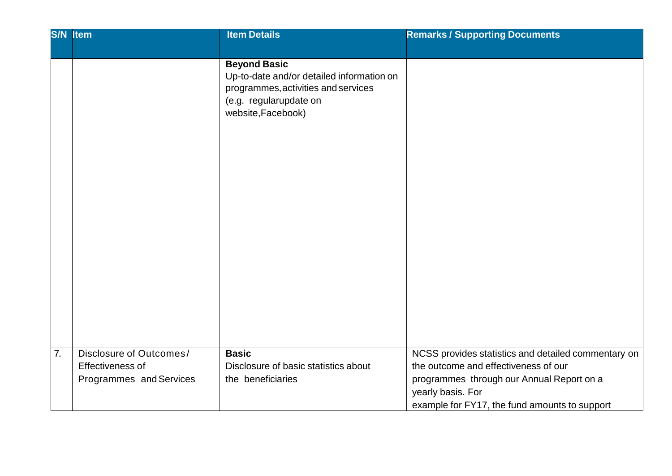|    | <b>S/N</b> Item                                                        | <b>Item Details</b>                                                                                                                                     | <b>Remarks / Supporting Documents</b>                                                                                                                                                                          |
|----|------------------------------------------------------------------------|---------------------------------------------------------------------------------------------------------------------------------------------------------|----------------------------------------------------------------------------------------------------------------------------------------------------------------------------------------------------------------|
|    |                                                                        |                                                                                                                                                         |                                                                                                                                                                                                                |
|    |                                                                        | <b>Beyond Basic</b><br>Up-to-date and/or detailed information on<br>programmes, activities and services<br>(e.g. regularupdate on<br>website, Facebook) |                                                                                                                                                                                                                |
| 7. | Disclosure of Outcomes/<br>Effectiveness of<br>Programmes and Services | <b>Basic</b><br>Disclosure of basic statistics about<br>the beneficiaries                                                                               | NCSS provides statistics and detailed commentary on<br>the outcome and effectiveness of our<br>programmes through our Annual Report on a<br>yearly basis. For<br>example for FY17, the fund amounts to support |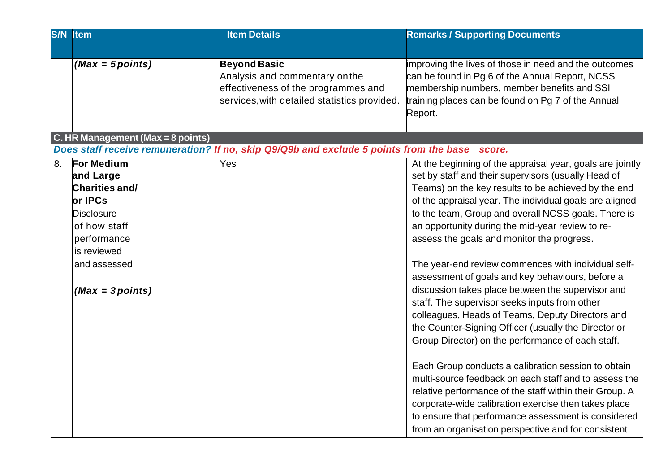|    | <b>S/N</b> Item                                                                                                                                               | <b>Item Details</b>                                                                                                                          | <b>Remarks / Supporting Documents</b>                                                                                                                                                                                                                                                                                                                                                                                                                                                                                                                                                                                                                                                                                                                                                                                                                                                                                                                                                                                                                                                                                          |
|----|---------------------------------------------------------------------------------------------------------------------------------------------------------------|----------------------------------------------------------------------------------------------------------------------------------------------|--------------------------------------------------------------------------------------------------------------------------------------------------------------------------------------------------------------------------------------------------------------------------------------------------------------------------------------------------------------------------------------------------------------------------------------------------------------------------------------------------------------------------------------------------------------------------------------------------------------------------------------------------------------------------------------------------------------------------------------------------------------------------------------------------------------------------------------------------------------------------------------------------------------------------------------------------------------------------------------------------------------------------------------------------------------------------------------------------------------------------------|
|    |                                                                                                                                                               |                                                                                                                                              |                                                                                                                                                                                                                                                                                                                                                                                                                                                                                                                                                                                                                                                                                                                                                                                                                                                                                                                                                                                                                                                                                                                                |
|    | $(Max = 5 points)$<br>C. HR Management (Max = 8 points)                                                                                                       | <b>Beyond Basic</b><br>Analysis and commentary on the<br>effectiveness of the programmes and<br>services, with detailed statistics provided. | improving the lives of those in need and the outcomes<br>can be found in Pg 6 of the Annual Report, NCSS<br>membership numbers, member benefits and SSI<br>training places can be found on Pg 7 of the Annual<br>Report.                                                                                                                                                                                                                                                                                                                                                                                                                                                                                                                                                                                                                                                                                                                                                                                                                                                                                                       |
|    |                                                                                                                                                               | Does staff receive remuneration? If no, skip Q9/Q9b and exclude 5 points from the base                                                       | score.                                                                                                                                                                                                                                                                                                                                                                                                                                                                                                                                                                                                                                                                                                                                                                                                                                                                                                                                                                                                                                                                                                                         |
| 8. | <b>For Medium</b><br>and Large<br>Charities and/<br>or IPCs<br>Disclosure<br>of how staff<br>performance<br>is reviewed<br>and assessed<br>$(Max = 3 points)$ | Yes                                                                                                                                          | At the beginning of the appraisal year, goals are jointly<br>set by staff and their supervisors (usually Head of<br>Teams) on the key results to be achieved by the end<br>of the appraisal year. The individual goals are aligned<br>to the team, Group and overall NCSS goals. There is<br>an opportunity during the mid-year review to re-<br>assess the goals and monitor the progress.<br>The year-end review commences with individual self-<br>assessment of goals and key behaviours, before a<br>discussion takes place between the supervisor and<br>staff. The supervisor seeks inputs from other<br>colleagues, Heads of Teams, Deputy Directors and<br>the Counter-Signing Officer (usually the Director or<br>Group Director) on the performance of each staff.<br>Each Group conducts a calibration session to obtain<br>multi-source feedback on each staff and to assess the<br>relative performance of the staff within their Group. A<br>corporate-wide calibration exercise then takes place<br>to ensure that performance assessment is considered<br>from an organisation perspective and for consistent |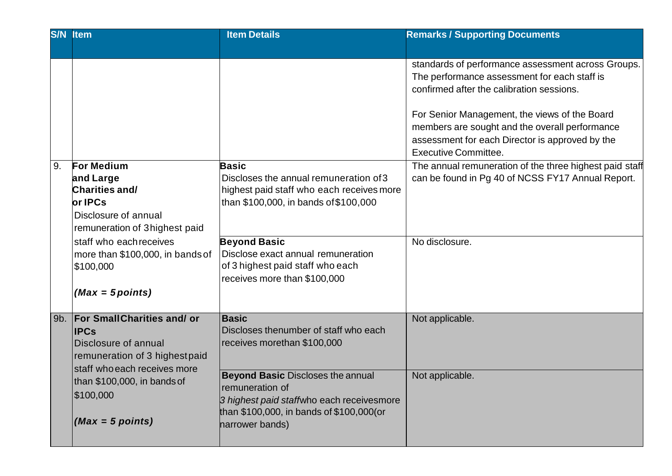|     | <b>S/N</b> Item                                                                                                                 | <b>Item Details</b>                                                                                                                                                     | <b>Remarks / Supporting Documents</b>                                                                                                                                                                                                                                                                                                                                                                                                                |
|-----|---------------------------------------------------------------------------------------------------------------------------------|-------------------------------------------------------------------------------------------------------------------------------------------------------------------------|------------------------------------------------------------------------------------------------------------------------------------------------------------------------------------------------------------------------------------------------------------------------------------------------------------------------------------------------------------------------------------------------------------------------------------------------------|
| 9.  | <b>For Medium</b><br>and Large<br>Charities and/<br>or IPCs<br>Disclosure of annual                                             | <b>Basic</b><br>Discloses the annual remuneration of 3<br>highest paid staff who each receives more<br>than \$100,000, in bands of \$100,000                            | standards of performance assessment across Groups.<br>The performance assessment for each staff is<br>confirmed after the calibration sessions.<br>For Senior Management, the views of the Board<br>members are sought and the overall performance<br>assessment for each Director is approved by the<br><b>Executive Committee.</b><br>The annual remuneration of the three highest paid staff<br>can be found in Pg 40 of NCSS FY17 Annual Report. |
|     | remuneration of 3highest paid<br>staff who each receives<br>more than \$100,000, in bands of<br>\$100,000<br>$(Max = 5 points)$ | <b>Beyond Basic</b><br>Disclose exact annual remuneration<br>of 3 highest paid staff who each<br>receives more than \$100,000                                           | No disclosure.                                                                                                                                                                                                                                                                                                                                                                                                                                       |
| 9b. | <b>For SmallCharities and/or</b><br><b>IPCs</b><br>Disclosure of annual<br>remuneration of 3 highestpaid                        | <b>Basic</b><br>Discloses thenumber of staff who each<br>receives morethan \$100,000                                                                                    | Not applicable.                                                                                                                                                                                                                                                                                                                                                                                                                                      |
|     | staff who each receives more<br>than \$100,000, in bands of<br>\$100,000<br>$(Max = 5 points)$                                  | <b>Beyond Basic Discloses the annual</b><br>remuneration of<br>3 highest paid staffwho each receivesmore<br>than \$100,000, in bands of \$100,000(or<br>harrower bands) | Not applicable.                                                                                                                                                                                                                                                                                                                                                                                                                                      |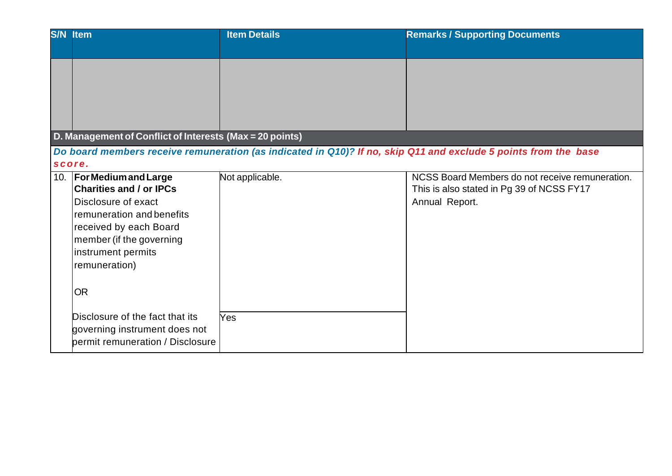|        | <b>S/N</b> Item                                               | <b>Item Details</b> | <b>Remarks / Supporting Documents</b>                                                                           |
|--------|---------------------------------------------------------------|---------------------|-----------------------------------------------------------------------------------------------------------------|
|        |                                                               |                     |                                                                                                                 |
|        |                                                               |                     |                                                                                                                 |
|        | D. Management of Conflict of Interests (Max = 20 points)      |                     |                                                                                                                 |
|        |                                                               |                     | Do board members receive remuneration (as indicated in Q10)? If no, skip Q11 and exclude 5 points from the base |
| score. |                                                               |                     |                                                                                                                 |
| 10.    | <b>For Medium and Large</b><br><b>Charities and / or IPCs</b> | Not applicable.     | NCSS Board Members do not receive remuneration.<br>This is also stated in Pg 39 of NCSS FY17                    |
|        | Disclosure of exact                                           |                     | Annual Report.                                                                                                  |
|        | remuneration and benefits                                     |                     |                                                                                                                 |
|        | received by each Board                                        |                     |                                                                                                                 |
|        | member (if the governing                                      |                     |                                                                                                                 |
|        | instrument permits                                            |                     |                                                                                                                 |
|        | remuneration)                                                 |                     |                                                                                                                 |
|        | <b>OR</b>                                                     |                     |                                                                                                                 |
|        | Disclosure of the fact that its                               | Yes                 |                                                                                                                 |
|        | governing instrument does not                                 |                     |                                                                                                                 |
|        | permit remuneration / Disclosure                              |                     |                                                                                                                 |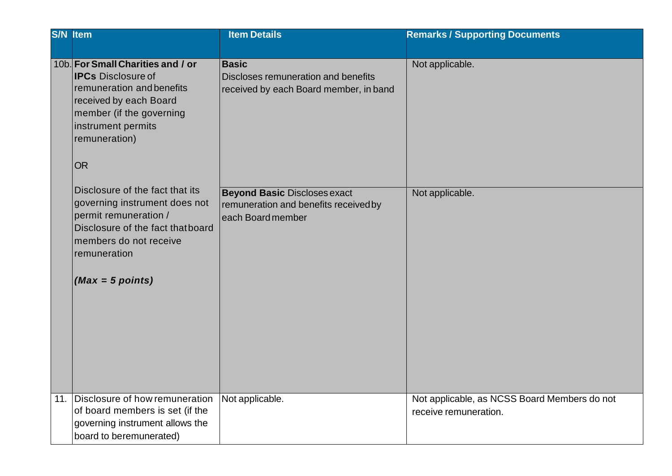|     | <b>S/N</b> Item                                                                                                                                                                                       | <b>Item Details</b>                                                                               | <b>Remarks / Supporting Documents</b>                                 |
|-----|-------------------------------------------------------------------------------------------------------------------------------------------------------------------------------------------------------|---------------------------------------------------------------------------------------------------|-----------------------------------------------------------------------|
|     | 10b. For Small Charities and / or<br><b>IPCs</b> Disclosure of<br>remuneration and benefits<br>received by each Board<br>member (if the governing<br>instrument permits<br>remuneration)<br><b>OR</b> | <b>Basic</b><br>Discloses remuneration and benefits<br>received by each Board member, in band     | Not applicable.                                                       |
|     | Disclosure of the fact that its<br>governing instrument does not<br>permit remuneration /<br>Disclosure of the fact that board<br>members do not receive<br>remuneration<br>$(Max = 5 points)$        | <b>Beyond Basic Discloses exact</b><br>remuneration and benefits received by<br>each Board member | Not applicable.                                                       |
| 11. | Disclosure of how remuneration<br>of board members is set (if the<br>governing instrument allows the<br>board to beremunerated)                                                                       | Not applicable.                                                                                   | Not applicable, as NCSS Board Members do not<br>receive remuneration. |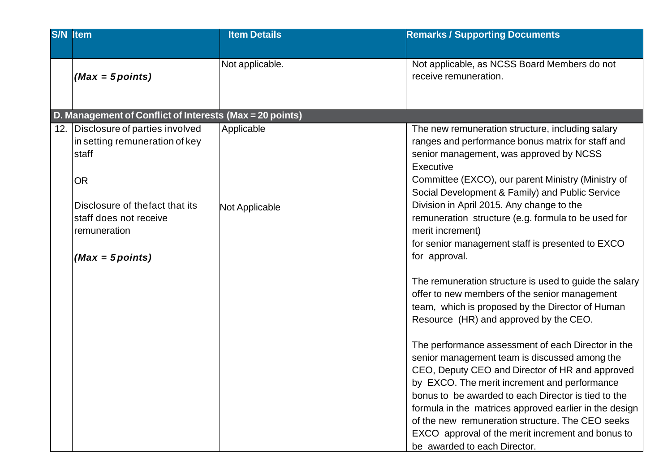|     | <b>S/N</b> Item                                          | <b>Item Details</b> | <b>Remarks / Supporting Documents</b>                                 |
|-----|----------------------------------------------------------|---------------------|-----------------------------------------------------------------------|
|     |                                                          |                     |                                                                       |
|     | $(Max = 5 points)$                                       | Not applicable.     | Not applicable, as NCSS Board Members do not<br>receive remuneration. |
|     | D. Management of Conflict of Interests (Max = 20 points) |                     |                                                                       |
| 12. | Disclosure of parties involved                           | Applicable          | The new remuneration structure, including salary                      |
|     | in setting remuneration of key                           |                     | ranges and performance bonus matrix for staff and                     |
|     | staff                                                    |                     | senior management, was approved by NCSS                               |
|     |                                                          |                     | <b>Executive</b>                                                      |
|     | <b>OR</b>                                                |                     | Committee (EXCO), our parent Ministry (Ministry of                    |
|     |                                                          |                     | Social Development & Family) and Public Service                       |
|     | Disclosure of the fact that its                          | Not Applicable      | Division in April 2015. Any change to the                             |
|     | staff does not receive                                   |                     | remuneration structure (e.g. formula to be used for                   |
|     | remuneration                                             |                     | merit increment)                                                      |
|     |                                                          |                     | for senior management staff is presented to EXCO                      |
|     | $(Max = 5 points)$                                       |                     | for approval.                                                         |
|     |                                                          |                     | The remuneration structure is used to guide the salary                |
|     |                                                          |                     | offer to new members of the senior management                         |
|     |                                                          |                     | team, which is proposed by the Director of Human                      |
|     |                                                          |                     | Resource (HR) and approved by the CEO.                                |
|     |                                                          |                     |                                                                       |
|     |                                                          |                     | The performance assessment of each Director in the                    |
|     |                                                          |                     | senior management team is discussed among the                         |
|     |                                                          |                     | CEO, Deputy CEO and Director of HR and approved                       |
|     |                                                          |                     | by EXCO. The merit increment and performance                          |
|     |                                                          |                     | bonus to be awarded to each Director is tied to the                   |
|     |                                                          |                     | formula in the matrices approved earlier in the design                |
|     |                                                          |                     | of the new remuneration structure. The CEO seeks                      |
|     |                                                          |                     | EXCO approval of the merit increment and bonus to                     |
|     |                                                          |                     | be awarded to each Director.                                          |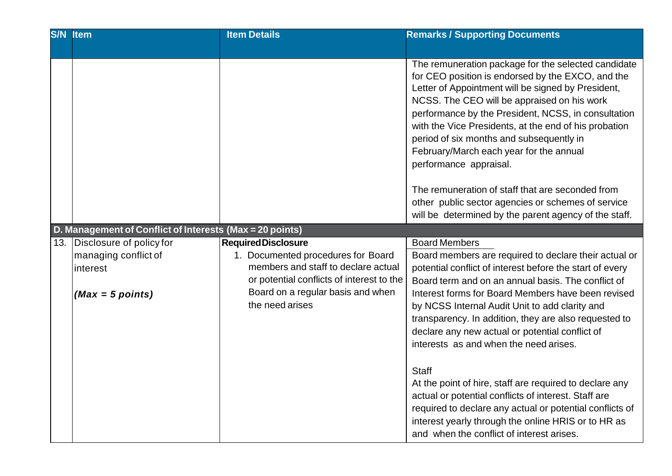| <b>S/N</b> | <b>Item</b>                                              | <b>Item Details</b>                                                       | <b>Remarks / Supporting Documents</b>                                                                                                                                                                                                                                                                                                                                                                                                                                                                                                                                                                             |
|------------|----------------------------------------------------------|---------------------------------------------------------------------------|-------------------------------------------------------------------------------------------------------------------------------------------------------------------------------------------------------------------------------------------------------------------------------------------------------------------------------------------------------------------------------------------------------------------------------------------------------------------------------------------------------------------------------------------------------------------------------------------------------------------|
|            |                                                          |                                                                           |                                                                                                                                                                                                                                                                                                                                                                                                                                                                                                                                                                                                                   |
|            |                                                          |                                                                           | The remuneration package for the selected candidate<br>for CEO position is endorsed by the EXCO, and the<br>Letter of Appointment will be signed by President,<br>NCSS. The CEO will be appraised on his work<br>performance by the President, NCSS, in consultation<br>with the Vice Presidents, at the end of his probation<br>period of six months and subsequently in<br>February/March each year for the annual<br>performance appraisal.<br>The remuneration of staff that are seconded from<br>other public sector agencies or schemes of service<br>will be determined by the parent agency of the staff. |
|            | D. Management of Conflict of Interests (Max = 20 points) |                                                                           |                                                                                                                                                                                                                                                                                                                                                                                                                                                                                                                                                                                                                   |
| 13.        | Disclosure of policy for                                 | <b>Required Disclosure</b>                                                | <b>Board Members</b>                                                                                                                                                                                                                                                                                                                                                                                                                                                                                                                                                                                              |
|            | managing conflict of                                     | 1. Documented procedures for Board<br>members and staff to declare actual | Board members are required to declare their actual or                                                                                                                                                                                                                                                                                                                                                                                                                                                                                                                                                             |
|            | interest                                                 | or potential conflicts of interest to the                                 | potential conflict of interest before the start of every<br>Board term and on an annual basis. The conflict of                                                                                                                                                                                                                                                                                                                                                                                                                                                                                                    |
|            | $(Max = 5 points)$                                       | Board on a regular basis and when<br>the need arises                      | Interest forms for Board Members have been revised<br>by NCSS Internal Audit Unit to add clarity and<br>transparency. In addition, they are also requested to<br>declare any new actual or potential conflict of<br>interests as and when the need arises.                                                                                                                                                                                                                                                                                                                                                        |
|            |                                                          |                                                                           | <b>Staff</b><br>At the point of hire, staff are required to declare any<br>actual or potential conflicts of interest. Staff are<br>required to declare any actual or potential conflicts of<br>interest yearly through the online HRIS or to HR as<br>and when the conflict of interest arises.                                                                                                                                                                                                                                                                                                                   |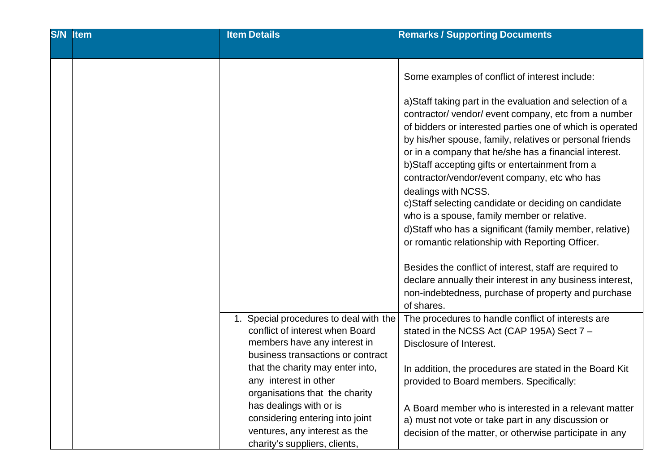| <b>S/N</b> Item | <b>Item Details</b>                                                                                                          | <b>Remarks / Supporting Documents</b>                                                                                                                                                                                                                                                                                                                                                                                                                                                                                                                                                                                                                                                                                                                                                                                             |
|-----------------|------------------------------------------------------------------------------------------------------------------------------|-----------------------------------------------------------------------------------------------------------------------------------------------------------------------------------------------------------------------------------------------------------------------------------------------------------------------------------------------------------------------------------------------------------------------------------------------------------------------------------------------------------------------------------------------------------------------------------------------------------------------------------------------------------------------------------------------------------------------------------------------------------------------------------------------------------------------------------|
|                 |                                                                                                                              |                                                                                                                                                                                                                                                                                                                                                                                                                                                                                                                                                                                                                                                                                                                                                                                                                                   |
|                 |                                                                                                                              | Some examples of conflict of interest include:                                                                                                                                                                                                                                                                                                                                                                                                                                                                                                                                                                                                                                                                                                                                                                                    |
|                 |                                                                                                                              | a) Staff taking part in the evaluation and selection of a<br>contractor/vendor/event company, etc from a number<br>of bidders or interested parties one of which is operated<br>by his/her spouse, family, relatives or personal friends<br>or in a company that he/she has a financial interest.<br>b) Staff accepting gifts or entertainment from a<br>contractor/vendor/event company, etc who has<br>dealings with NCSS.<br>c)Staff selecting candidate or deciding on candidate<br>who is a spouse, family member or relative.<br>d)Staff who has a significant (family member, relative)<br>or romantic relationship with Reporting Officer.<br>Besides the conflict of interest, staff are required to<br>declare annually their interest in any business interest,<br>non-indebtedness, purchase of property and purchase |
|                 | 1. Special procedures to deal with the                                                                                       | of shares.<br>The procedures to handle conflict of interests are                                                                                                                                                                                                                                                                                                                                                                                                                                                                                                                                                                                                                                                                                                                                                                  |
|                 | conflict of interest when Board<br>members have any interest in<br>business transactions or contract                         | stated in the NCSS Act (CAP 195A) Sect 7 -<br>Disclosure of Interest.                                                                                                                                                                                                                                                                                                                                                                                                                                                                                                                                                                                                                                                                                                                                                             |
|                 | that the charity may enter into,<br>any interest in other<br>organisations that the charity                                  | In addition, the procedures are stated in the Board Kit<br>provided to Board members. Specifically:                                                                                                                                                                                                                                                                                                                                                                                                                                                                                                                                                                                                                                                                                                                               |
|                 | has dealings with or is<br>considering entering into joint<br>ventures, any interest as the<br>charity's suppliers, clients, | A Board member who is interested in a relevant matter<br>a) must not vote or take part in any discussion or<br>decision of the matter, or otherwise participate in any                                                                                                                                                                                                                                                                                                                                                                                                                                                                                                                                                                                                                                                            |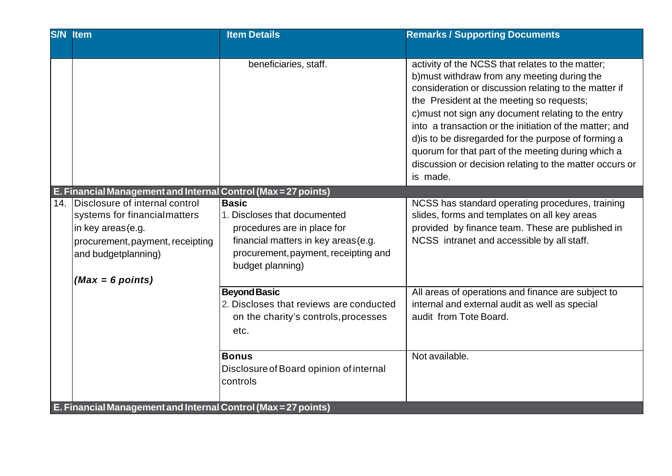|     | <b>S/N</b> Item                                                                                                                                                       | <b>Item Details</b>                                                                                                                                                             | <b>Remarks / Supporting Documents</b>                                                                                                                                                                                                                                                                                                                                                                                                                                                                         |
|-----|-----------------------------------------------------------------------------------------------------------------------------------------------------------------------|---------------------------------------------------------------------------------------------------------------------------------------------------------------------------------|---------------------------------------------------------------------------------------------------------------------------------------------------------------------------------------------------------------------------------------------------------------------------------------------------------------------------------------------------------------------------------------------------------------------------------------------------------------------------------------------------------------|
|     |                                                                                                                                                                       | beneficiaries, staff.                                                                                                                                                           | activity of the NCSS that relates to the matter;<br>b) must withdraw from any meeting during the<br>consideration or discussion relating to the matter if<br>the President at the meeting so requests;<br>c) must not sign any document relating to the entry<br>into a transaction or the initiation of the matter; and<br>d) is to be disregarded for the purpose of forming a<br>quorum for that part of the meeting during which a<br>discussion or decision relating to the matter occurs or<br>is made. |
|     | E. Financial Management and Internal Control (Max = 27 points)                                                                                                        |                                                                                                                                                                                 |                                                                                                                                                                                                                                                                                                                                                                                                                                                                                                               |
| 14. | Disclosure of internal control<br>systems for financialmatters<br>in key areas (e.g.<br>procurement, payment, receipting<br>and budgetplanning)<br>$(Max = 6 points)$ | <b>Basic</b><br>1. Discloses that documented<br>procedures are in place for<br>financial matters in key areas (e.g.<br>procurement, payment, receipting and<br>budget planning) | NCSS has standard operating procedures, training<br>slides, forms and templates on all key areas<br>provided by finance team. These are published in<br>NCSS intranet and accessible by all staff.                                                                                                                                                                                                                                                                                                            |
|     |                                                                                                                                                                       | <b>Beyond Basic</b><br>2. Discloses that reviews are conducted<br>on the charity's controls, processes<br>etc.<br><b>Bonus</b>                                                  | All areas of operations and finance are subject to<br>internal and external audit as well as special<br>audit from Tote Board.<br>Not available.                                                                                                                                                                                                                                                                                                                                                              |
|     | E. Financial Management and Internal Control (Max = 27 points)                                                                                                        | Disclosure of Board opinion of internal<br>controls                                                                                                                             |                                                                                                                                                                                                                                                                                                                                                                                                                                                                                                               |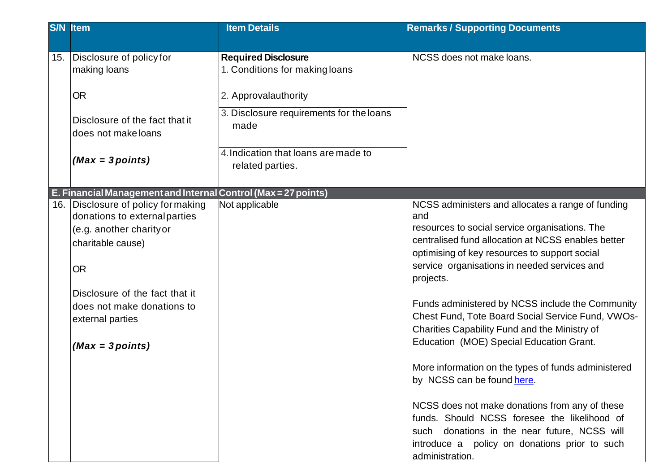|     | <b>S/N</b> Item                                                                                                                                                                                                                          | <b>Item Details</b>                                                                  | <b>Remarks / Supporting Documents</b>                                                                                                                                                                                                                                                                                                                                                                                                                                                                                                                                                                                                                                                                                                                                                           |
|-----|------------------------------------------------------------------------------------------------------------------------------------------------------------------------------------------------------------------------------------------|--------------------------------------------------------------------------------------|-------------------------------------------------------------------------------------------------------------------------------------------------------------------------------------------------------------------------------------------------------------------------------------------------------------------------------------------------------------------------------------------------------------------------------------------------------------------------------------------------------------------------------------------------------------------------------------------------------------------------------------------------------------------------------------------------------------------------------------------------------------------------------------------------|
| 15. | Disclosure of policy for<br>making loans<br><b>OR</b>                                                                                                                                                                                    | <b>Required Disclosure</b><br>1. Conditions for making loans<br>2. Approvalauthority | NCSS does not make loans.                                                                                                                                                                                                                                                                                                                                                                                                                                                                                                                                                                                                                                                                                                                                                                       |
|     | Disclosure of the fact that it<br>does not make loans                                                                                                                                                                                    | 3. Disclosure requirements for the loans<br>made                                     |                                                                                                                                                                                                                                                                                                                                                                                                                                                                                                                                                                                                                                                                                                                                                                                                 |
|     | $(Max = 3 points)$                                                                                                                                                                                                                       | 4. Indication that loans are made to<br>related parties.                             |                                                                                                                                                                                                                                                                                                                                                                                                                                                                                                                                                                                                                                                                                                                                                                                                 |
|     | E. Financial Management and Internal Control (Max = 27 points)                                                                                                                                                                           |                                                                                      |                                                                                                                                                                                                                                                                                                                                                                                                                                                                                                                                                                                                                                                                                                                                                                                                 |
| 16. | Disclosure of policy for making<br>donations to external parties<br>(e.g. another charity or<br>charitable cause)<br><b>OR</b><br>Disclosure of the fact that it<br>does not make donations to<br>external parties<br>$(Max = 3 points)$ | Not applicable                                                                       | NCSS administers and allocates a range of funding<br>and<br>resources to social service organisations. The<br>centralised fund allocation at NCSS enables better<br>optimising of key resources to support social<br>service organisations in needed services and<br>projects.<br>Funds administered by NCSS include the Community<br>Chest Fund, Tote Board Social Service Fund, VWOs-<br>Charities Capability Fund and the Ministry of<br>Education (MOE) Special Education Grant.<br>More information on the types of funds administered<br>by NCSS can be found here.<br>NCSS does not make donations from any of these<br>funds. Should NCSS foresee the likelihood of<br>such donations in the near future, NCSS will<br>introduce a policy on donations prior to such<br>administration. |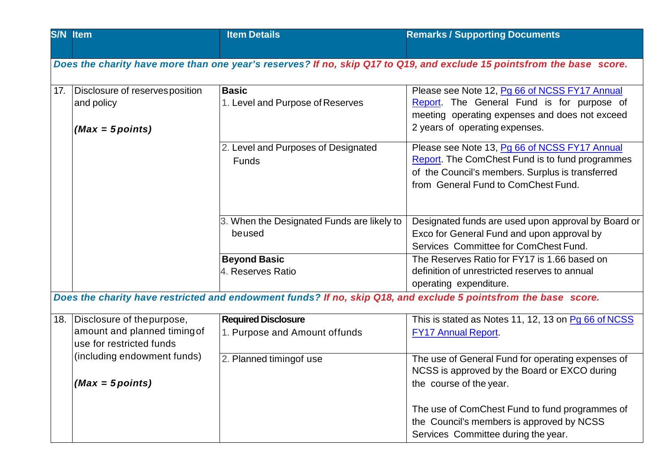| <b>S/N</b> Item                    | <b>Item Details</b>                        | <b>Remarks / Supporting Documents</b>                                                                                  |
|------------------------------------|--------------------------------------------|------------------------------------------------------------------------------------------------------------------------|
|                                    |                                            | Does the charity have more than one year's reserves? If no, skip Q17 to Q19, and exclude 15 pointsfrom the base score. |
| 17. Disclosure of reservesposition | <b>Basic</b>                               | Please see Note 12, Pg 66 of NCSS FY17 Annual                                                                          |
| and policy                         | 1. Level and Purpose of Reserves           | Report. The General Fund is for purpose of                                                                             |
|                                    |                                            | meeting operating expenses and does not exceed                                                                         |
| $(Max = 5 points)$                 |                                            | 2 years of operating expenses.                                                                                         |
|                                    | 2. Level and Purposes of Designated        | Please see Note 13, Pg 66 of NCSS FY17 Annual                                                                          |
|                                    | <b>Funds</b>                               | <b>Report.</b> The ComChest Fund is to fund programmes                                                                 |
|                                    |                                            | of the Council's members. Surplus is transferred                                                                       |
|                                    |                                            | from General Fund to ComChest Fund.                                                                                    |
|                                    |                                            |                                                                                                                        |
|                                    | 3. When the Designated Funds are likely to | Designated funds are used upon approval by Board or                                                                    |
|                                    | beused                                     | Exco for General Fund and upon approval by                                                                             |
|                                    |                                            | Services Committee for ComChest Fund.                                                                                  |
|                                    | <b>Beyond Basic</b>                        | The Reserves Ratio for FY17 is 1.66 based on                                                                           |
|                                    | 4. Reserves Ratio                          | definition of unrestricted reserves to annual                                                                          |
|                                    |                                            | operating expenditure.                                                                                                 |
|                                    |                                            | Does the charity have restricted and endowment funds? If no, skip Q18, and exclude 5 pointsfrom the base score.        |
| 18. Disclosure of the purpose,     | <b>Required Disclosure</b>                 | This is stated as Notes 11, 12, 13 on Pg 66 of NCSS                                                                    |
| amount and planned timing of       | 1. Purpose and Amount offunds              | <b>FY17 Annual Report.</b>                                                                                             |
| use for restricted funds           |                                            |                                                                                                                        |
| (including endowment funds)        | 2. Planned timingof use                    | The use of General Fund for operating expenses of                                                                      |
|                                    |                                            | NCSS is approved by the Board or EXCO during                                                                           |
| $(Max = 5 points)$                 |                                            | the course of the year.                                                                                                |
|                                    |                                            | The use of ComChest Fund to fund programmes of                                                                         |
|                                    |                                            | the Council's members is approved by NCSS                                                                              |
|                                    |                                            | Services Committee during the year.                                                                                    |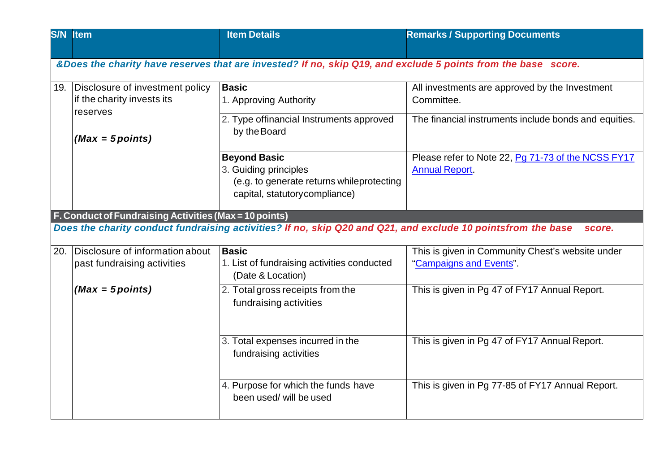|                                                        | <b>S/N</b> Item                                                               | <b>Item Details</b>                                                                                                         | <b>Remarks / Supporting Documents</b>                                       |
|--------------------------------------------------------|-------------------------------------------------------------------------------|-----------------------------------------------------------------------------------------------------------------------------|-----------------------------------------------------------------------------|
|                                                        |                                                                               | &Does the charity have reserves that are invested? If no, skip Q19, and exclude 5 points from the base score.               |                                                                             |
|                                                        | 19. Disclosure of investment policy<br>if the charity invests its<br>reserves | <b>Basic</b><br>1. Approving Authority                                                                                      | All investments are approved by the Investment<br>Committee.                |
|                                                        | $(Max = 5 points)$                                                            | 2. Type offinancial Instruments approved<br>by the Board                                                                    | The financial instruments include bonds and equities.                       |
|                                                        |                                                                               | <b>Beyond Basic</b><br>3. Guiding principles<br>(e.g. to generate returns whileprotecting<br>capital, statutory compliance) | Please refer to Note 22, Pg 71-73 of the NCSS FY17<br><b>Annual Report.</b> |
| F. Conduct of Fundraising Activities (Max = 10 points) |                                                                               |                                                                                                                             |                                                                             |
|                                                        |                                                                               | Does the charity conduct fundraising activities? If no, skip Q20 and Q21, and exclude 10 pointsfrom the base                | score.                                                                      |
|                                                        | 20. Disclosure of information about<br>past fundraising activities            | <b>Basic</b><br>1. List of fundraising activities conducted<br>(Date & Location)                                            | This is given in Community Chest's website under<br>"Campaigns and Events". |
|                                                        | $(Max = 5 points)$                                                            | 2. Total gross receipts from the<br>fundraising activities                                                                  | This is given in Pg 47 of FY17 Annual Report.                               |
|                                                        |                                                                               | 3. Total expenses incurred in the<br>fundraising activities                                                                 | This is given in Pg 47 of FY17 Annual Report.                               |
|                                                        |                                                                               | 4. Purpose for which the funds have<br>been used/ will be used                                                              | This is given in Pg 77-85 of FY17 Annual Report.                            |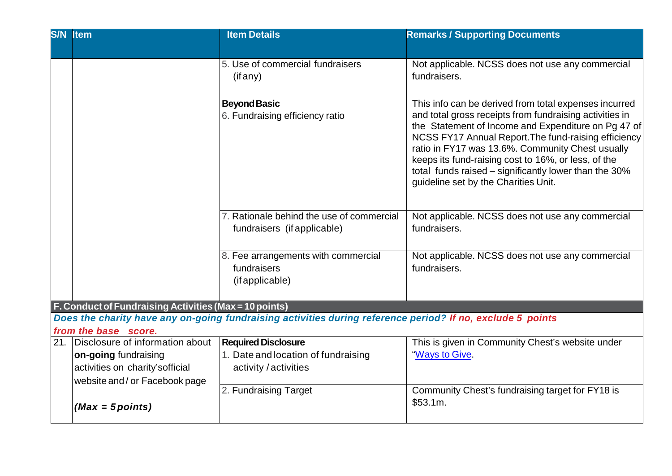| <b>S/N</b> Item                                        | <b>Item Details</b>                                                                                        | <b>Remarks / Supporting Documents</b>                                                                                                                                                                                                                                                                                                                                              |
|--------------------------------------------------------|------------------------------------------------------------------------------------------------------------|------------------------------------------------------------------------------------------------------------------------------------------------------------------------------------------------------------------------------------------------------------------------------------------------------------------------------------------------------------------------------------|
|                                                        |                                                                                                            |                                                                                                                                                                                                                                                                                                                                                                                    |
|                                                        | 5. Use of commercial fundraisers                                                                           | Not applicable. NCSS does not use any commercial                                                                                                                                                                                                                                                                                                                                   |
|                                                        | (if any)                                                                                                   | fundraisers.                                                                                                                                                                                                                                                                                                                                                                       |
|                                                        | <b>Beyond Basic</b>                                                                                        | This info can be derived from total expenses incurred                                                                                                                                                                                                                                                                                                                              |
|                                                        | 6. Fundraising efficiency ratio                                                                            | and total gross receipts from fundraising activities in<br>the Statement of Income and Expenditure on Pg 47 of<br>NCSS FY17 Annual Report. The fund-raising efficiency<br>ratio in FY17 was 13.6%. Community Chest usually<br>keeps its fund-raising cost to 16%, or less, of the<br>total funds raised - significantly lower than the 30%<br>quideline set by the Charities Unit. |
|                                                        | 7. Rationale behind the use of commercial                                                                  | Not applicable. NCSS does not use any commercial                                                                                                                                                                                                                                                                                                                                   |
|                                                        | fundraisers (if applicable)                                                                                | fundraisers.                                                                                                                                                                                                                                                                                                                                                                       |
|                                                        | 8. Fee arrangements with commercial                                                                        | Not applicable. NCSS does not use any commercial                                                                                                                                                                                                                                                                                                                                   |
|                                                        | fundraisers                                                                                                | fundraisers.                                                                                                                                                                                                                                                                                                                                                                       |
|                                                        | (if applicable)                                                                                            |                                                                                                                                                                                                                                                                                                                                                                                    |
| F. Conduct of Fundraising Activities (Max = 10 points) |                                                                                                            |                                                                                                                                                                                                                                                                                                                                                                                    |
|                                                        | Does the charity have any on-going fundraising activities during reference period? If no, exclude 5 points |                                                                                                                                                                                                                                                                                                                                                                                    |
| from the base score.                                   |                                                                                                            |                                                                                                                                                                                                                                                                                                                                                                                    |
| 21. Disclosure of information about                    | <b>Required Disclosure</b>                                                                                 | This is given in Community Chest's website under                                                                                                                                                                                                                                                                                                                                   |
| on-going fundraising                                   | 1. Date and location of fundraising                                                                        | "Ways to Give.                                                                                                                                                                                                                                                                                                                                                                     |
| activities on charity'sofficial                        | activity / activities                                                                                      |                                                                                                                                                                                                                                                                                                                                                                                    |
| website and/or Facebook page                           | 2. Fundraising Target                                                                                      | Community Chest's fundraising target for FY18 is                                                                                                                                                                                                                                                                                                                                   |
|                                                        |                                                                                                            | \$53.1m.                                                                                                                                                                                                                                                                                                                                                                           |
| $(Max = 5 points)$                                     |                                                                                                            |                                                                                                                                                                                                                                                                                                                                                                                    |